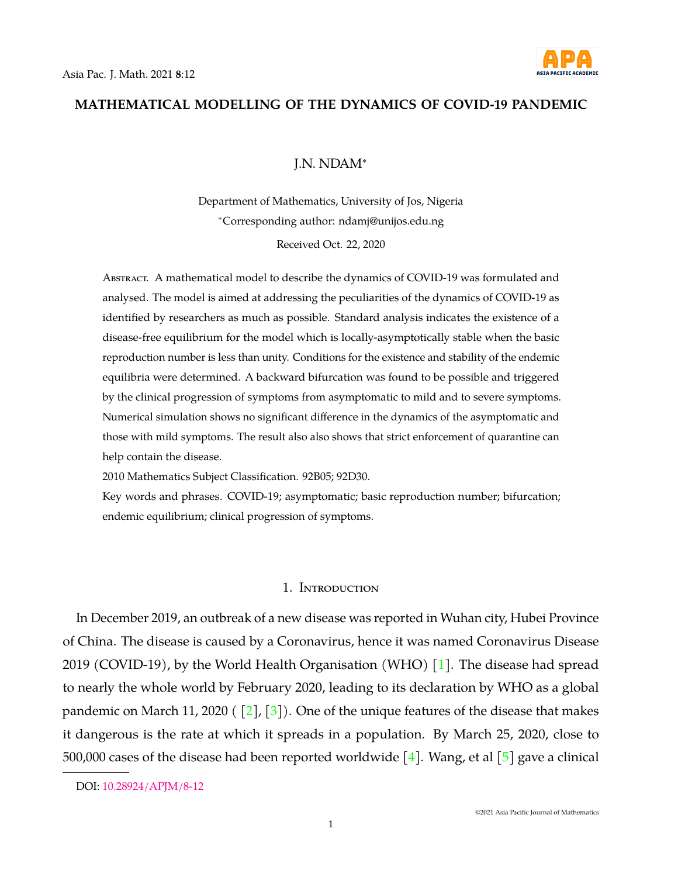

# **MATHEMATICAL MODELLING OF THE DYNAMICS OF COVID-19 PANDEMIC**

# J.N. NDAM<sup>∗</sup>

Department of Mathematics, University of Jos, Nigeria <sup>∗</sup>Corresponding author: ndamj@unijos.edu.ng Received Oct. 22, 2020

Abstract. A mathematical model to describe the dynamics of COVID-19 was formulated and analysed. The model is aimed at addressing the peculiarities of the dynamics of COVID-19 as identified by researchers as much as possible. Standard analysis indicates the existence of a disease-free equilibrium for the model which is locally-asymptotically stable when the basic reproduction number is less than unity. Conditions for the existence and stability of the endemic equilibria were determined. A backward bifurcation was found to be possible and triggered by the clinical progression of symptoms from asymptomatic to mild and to severe symptoms. Numerical simulation shows no significant difference in the dynamics of the asymptomatic and those with mild symptoms. The result also also shows that strict enforcement of quarantine can help contain the disease.

2010 Mathematics Subject Classification. 92B05; 92D30.

Key words and phrases. COVID-19; asymptomatic; basic reproduction number; bifurcation; endemic equilibrium; clinical progression of symptoms.

### 1. Introduction

In December 2019, an outbreak of a new disease was reported in Wuhan city, Hubei Province of China. The disease is caused by a Coronavirus, hence it was named Coronavirus Disease 2019 (COVID-19), by the World Health Organisation (WHO) [\[1\]](#page-15-0). The disease had spread to nearly the whole world by February 2020, leading to its declaration by WHO as a global pandemic on March 11, 2020 ( $\lceil 2 \rceil$ ,  $\lceil 3 \rceil$ ). One of the unique features of the disease that makes it dangerous is the rate at which it spreads in a population. By March 25, 2020, close to 500,000 cases of the disease had been reported worldwide [\[4\]](#page-15-3). Wang, et al [\[5\]](#page-15-4) gave a clinical

DOI: [10.28924/APJM/8-12](https://doi.org/10.28924/APJM/8-12)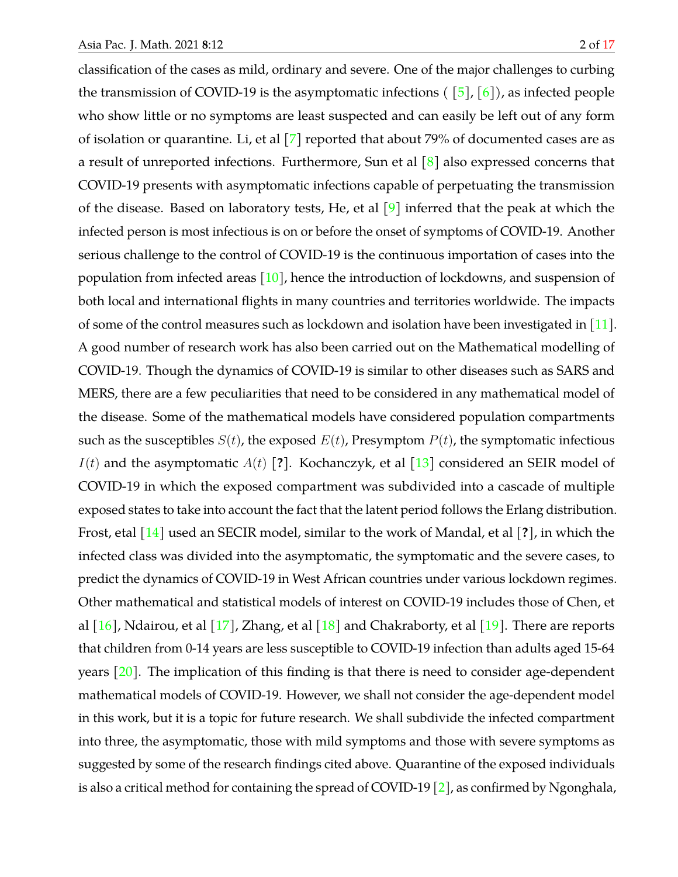classification of the cases as mild, ordinary and severe. One of the major challenges to curbing the transmission of COVID-19 is the asymptomatic infections ( $\lceil 5 \rceil$ ,  $\lceil 6 \rceil$ ), as infected people who show little or no symptoms are least suspected and can easily be left out of any form of isolation or quarantine. Li, et al [\[7\]](#page-15-6) reported that about 79% of documented cases are as a result of unreported infections. Furthermore, Sun et al  $\lceil 8 \rceil$  also expressed concerns that COVID-19 presents with asymptomatic infections capable of perpetuating the transmission of the disease. Based on laboratory tests, He, et al  $[9]$  inferred that the peak at which the infected person is most infectious is on or before the onset of symptoms of COVID-19. Another serious challenge to the control of COVID-19 is the continuous importation of cases into the population from infected areas  $[10]$ , hence the introduction of lockdowns, and suspension of both local and international flights in many countries and territories worldwide. The impacts of some of the control measures such as lockdown and isolation have been investigated in  $[11]$ . A good number of research work has also been carried out on the Mathematical modelling of COVID-19. Though the dynamics of COVID-19 is similar to other diseases such as SARS and MERS, there are a few peculiarities that need to be considered in any mathematical model of the disease. Some of the mathematical models have considered population compartments such as the susceptibles  $S(t)$ , the exposed  $E(t)$ , Presymptom  $P(t)$ , the symptomatic infectious  $I(t)$  and the asymptomatic  $A(t)$  [?]. Kochanczyk, et al [\[13\]](#page-15-11) considered an SEIR model of COVID-19 in which the exposed compartment was subdivided into a cascade of multiple exposed states to take into account the fact that the latent period follows the Erlang distribution. Frost, etal [\[14\]](#page-15-12) used an SECIR model, similar to the work of Mandal, et al [**?**], in which the infected class was divided into the asymptomatic, the symptomatic and the severe cases, to predict the dynamics of COVID-19 in West African countries under various lockdown regimes. Other mathematical and statistical models of interest on COVID-19 includes those of Chen, et al  $[16]$ , Ndairou, et al  $[17]$ , Zhang, et al  $[18]$  and Chakraborty, et al  $[19]$ . There are reports that children from 0-14 years are less susceptible to COVID-19 infection than adults aged 15-64 years  $\vert 20 \vert$ . The implication of this finding is that there is need to consider age-dependent mathematical models of COVID-19. However, we shall not consider the age-dependent model in this work, but it is a topic for future research. We shall subdivide the infected compartment into three, the asymptomatic, those with mild symptoms and those with severe symptoms as suggested by some of the research findings cited above. Quarantine of the exposed individuals is also a critical method for containing the spread of COVID-19 [\[2\]](#page-15-1), as confirmed by Ngonghala,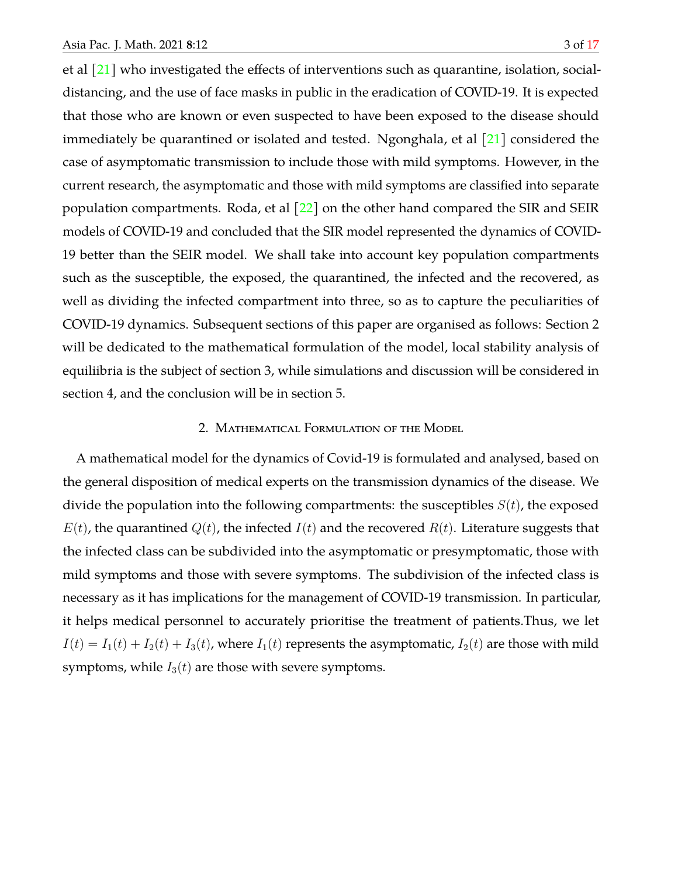et al [\[21\]](#page-16-6) who investigated the effects of interventions such as quarantine, isolation, socialdistancing, and the use of face masks in public in the eradication of COVID-19. It is expected that those who are known or even suspected to have been exposed to the disease should immediately be quarantined or isolated and tested. Ngonghala, et al  $\lceil 21 \rceil$  considered the case of asymptomatic transmission to include those with mild symptoms. However, in the current research, the asymptomatic and those with mild symptoms are classified into separate population compartments. Roda, et al  $[22]$  on the other hand compared the SIR and SEIR models of COVID-19 and concluded that the SIR model represented the dynamics of COVID-19 better than the SEIR model. We shall take into account key population compartments such as the susceptible, the exposed, the quarantined, the infected and the recovered, as well as dividing the infected compartment into three, so as to capture the peculiarities of COVID-19 dynamics. Subsequent sections of this paper are organised as follows: Section 2 will be dedicated to the mathematical formulation of the model, local stability analysis of equiliibria is the subject of section 3, while simulations and discussion will be considered in section 4, and the conclusion will be in section 5.

## 2. Mathematical Formulation of the Model

A mathematical model for the dynamics of Covid-19 is formulated and analysed, based on the general disposition of medical experts on the transmission dynamics of the disease. We divide the population into the following compartments: the susceptibles  $S(t)$ , the exposed  $E(t)$ , the quarantined  $Q(t)$ , the infected  $I(t)$  and the recovered  $R(t)$ . Literature suggests that the infected class can be subdivided into the asymptomatic or presymptomatic, those with mild symptoms and those with severe symptoms. The subdivision of the infected class is necessary as it has implications for the management of COVID-19 transmission. In particular, it helps medical personnel to accurately prioritise the treatment of patients.Thus, we let  $I(t) = I_1(t) + I_2(t) + I_3(t)$ , where  $I_1(t)$  represents the asymptomatic,  $I_2(t)$  are those with mild symptoms, while  $I_3(t)$  are those with severe symptoms.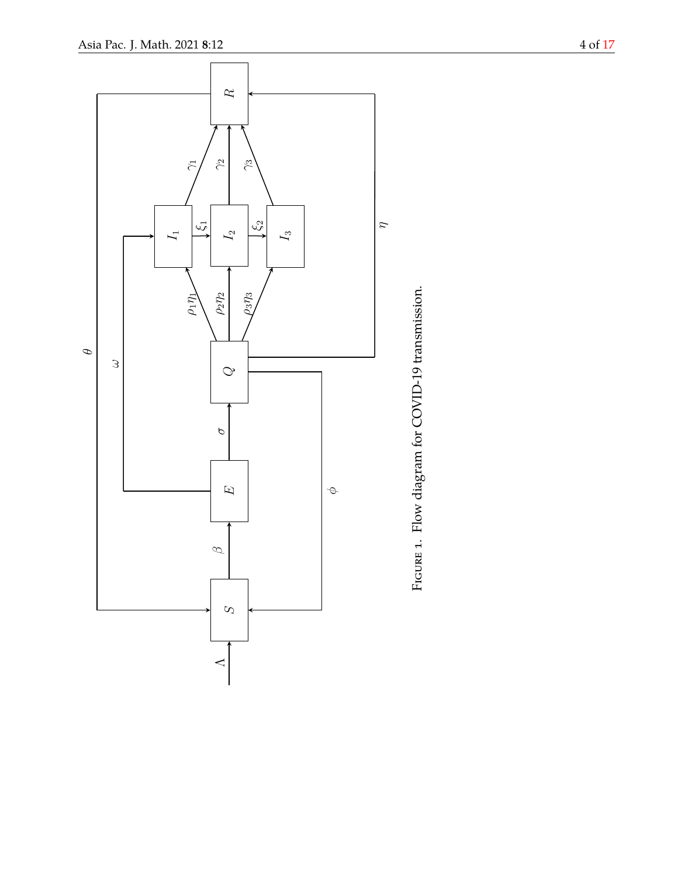<span id="page-3-0"></span>

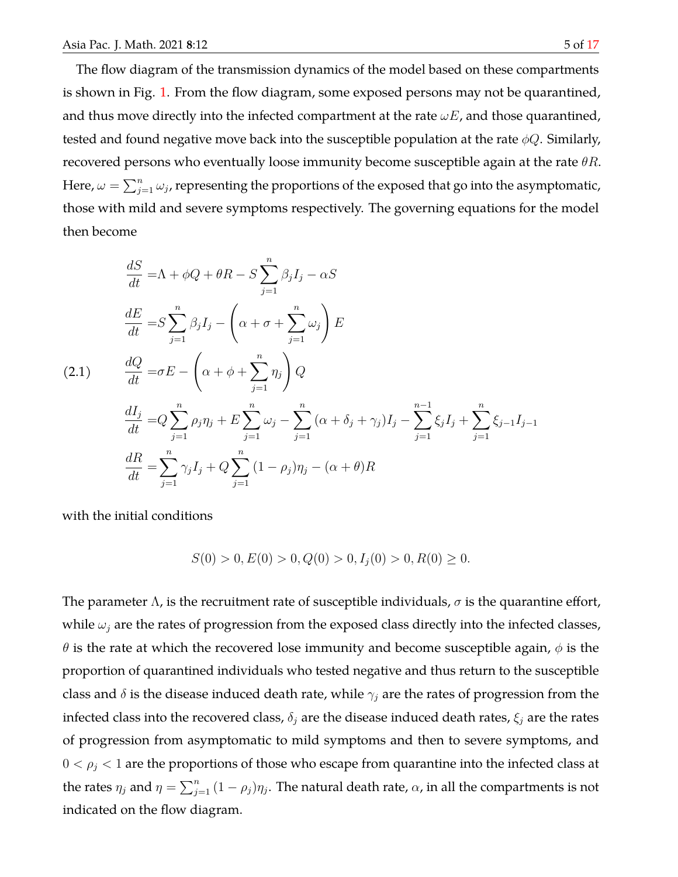The flow diagram of the transmission dynamics of the model based on these compartments is shown in Fig. [1.](#page-3-0) From the flow diagram, some exposed persons may not be quarantined, and thus move directly into the infected compartment at the rate  $\omega E$ , and those quarantined, tested and found negative move back into the susceptible population at the rate  $\phi Q$ . Similarly, recovered persons who eventually loose immunity become susceptible again at the rate  $\theta R$ . Here,  $\omega=\sum_{j=1}^n\omega_j$ , representing the proportions of the exposed that go into the asymptomatic, those with mild and severe symptoms respectively. The governing equations for the model then become

$$
\frac{dS}{dt} = \Lambda + \phi Q + \theta R - S \sum_{j=1}^{n} \beta_j I_j - \alpha S
$$
  

$$
\frac{dE}{dt} = S \sum_{j=1}^{n} \beta_j I_j - \left(\alpha + \sigma + \sum_{j=1}^{n} \omega_j\right) E
$$
  
(2.1) 
$$
\frac{dQ}{dt} = \sigma E - \left(\alpha + \phi + \sum_{j=1}^{n} \eta_j\right) Q
$$

$$
\frac{dI_j}{dt} = Q \sum_{j=1}^{n} \rho_j \eta_j + E \sum_{j=1}^{n} \omega_j - \sum_{j=1}^{n} \left(\alpha + \delta_j + \gamma_j\right) I_j - \sum_{j=1}^{n-1} \xi_j I_j + \sum_{j=1}^{n} \xi_{j-1} I_{j-1}
$$

$$
\frac{dR}{dt} = \sum_{j=1}^{n} \gamma_j I_j + Q \sum_{j=1}^{n} \left(1 - \rho_j\right) \eta_j - \left(\alpha + \theta\right) R
$$

with the initial conditions

$$
S(0) > 0, E(0) > 0, Q(0) > 0, Ij(0) > 0, R(0) \ge 0.
$$

The parameter  $\Lambda$ , is the recruitment rate of susceptible individuals,  $\sigma$  is the quarantine effort, while  $\omega_i$  are the rates of progression from the exposed class directly into the infected classes,  $\theta$  is the rate at which the recovered lose immunity and become susceptible again,  $\phi$  is the proportion of quarantined individuals who tested negative and thus return to the susceptible class and  $\delta$  is the disease induced death rate, while  $\gamma_i$  are the rates of progression from the infected class into the recovered class,  $\delta_i$  are the disease induced death rates,  $\xi_i$  are the rates of progression from asymptomatic to mild symptoms and then to severe symptoms, and  $0 < \rho_j < 1$  are the proportions of those who escape from quarantine into the infected class at the rates  $\eta_j$  and  $\eta = \sum_{j=1}^n (1-\rho_j)\eta_j$ . The natural death rate,  $\alpha$ , in all the compartments is not indicated on the flow diagram.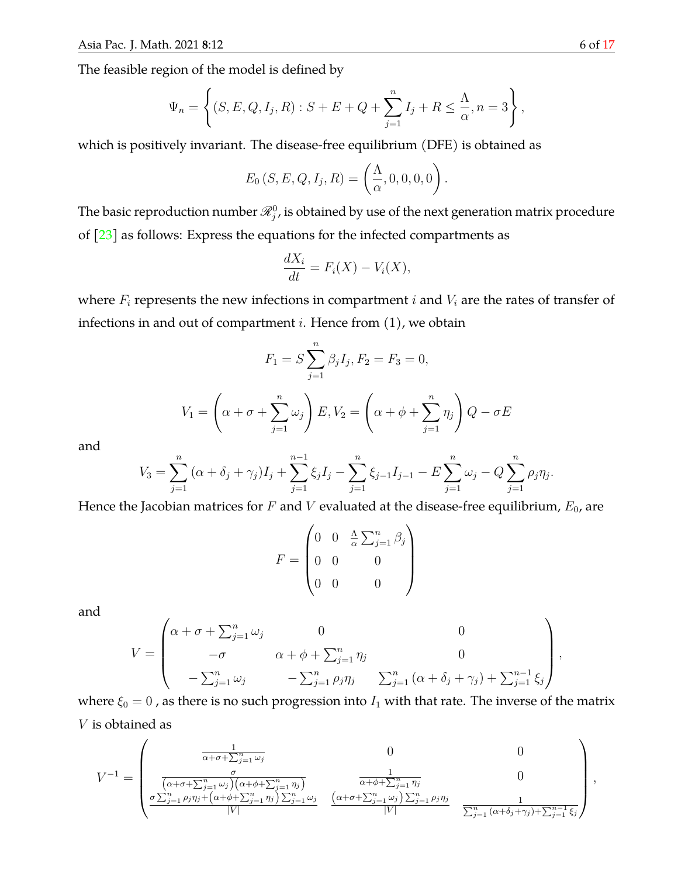The feasible region of the model is defined by

$$
\Psi_n = \left\{ (S, E, Q, I_j, R) : S + E + Q + \sum_{j=1}^n I_j + R \leq \frac{\Lambda}{\alpha}, n = 3 \right\},\
$$

which is positively invariant. The disease-free equilibrium (DFE) is obtained as

$$
E_0(S, E, Q, I_j, R) = \left(\frac{\Lambda}{\alpha}, 0, 0, 0, 0\right).
$$

The basic reproduction number  $\mathscr{R}^0_j$ , is obtained by use of the next generation matrix procedure of  $\lceil 23 \rceil$  as follows: Express the equations for the infected compartments as

$$
\frac{dX_i}{dt} = F_i(X) - V_i(X),
$$

where  $F_i$  represents the new infections in compartment  $i$  and  $V_i$  are the rates of transfer of infections in and out of compartment  $i$ . Hence from  $(1)$ , we obtain

$$
F_1 = S \sum_{j=1}^{n} \beta_j I_j, F_2 = F_3 = 0,
$$
  

$$
V_1 = \left(\alpha + \sigma + \sum_{j=1}^{n} \omega_j\right) E, V_2 = \left(\alpha + \phi + \sum_{j=1}^{n} \eta_j\right) Q - \sigma E
$$

and

$$
V_3 = \sum_{j=1}^n (\alpha + \delta_j + \gamma_j) I_j + \sum_{j=1}^{n-1} \xi_j I_j - \sum_{j=1}^n \xi_{j-1} I_{j-1} - E \sum_{j=1}^n \omega_j - Q \sum_{j=1}^n \rho_j \eta_j.
$$

Hence the Jacobian matrices for F and V evaluated at the disease-free equilibrium,  $E_0$ , are

$$
F = \begin{pmatrix} 0 & 0 & \frac{\Lambda}{\alpha} \sum_{j=1}^{n} \beta_j \\ 0 & 0 & 0 \\ 0 & 0 & 0 \end{pmatrix}
$$

and

$$
V = \begin{pmatrix} \alpha + \sigma + \sum_{j=1}^{n} \omega_j & 0 & 0 \\ -\sigma & \alpha + \phi + \sum_{j=1}^{n} \eta_j & 0 \\ -\sum_{j=1}^{n} \omega_j & -\sum_{j=1}^{n} \rho_j \eta_j & \sum_{j=1}^{n} (\alpha + \delta_j + \gamma_j) + \sum_{j=1}^{n-1} \xi_j \end{pmatrix}
$$

where  $\xi_0 = 0$ , as there is no such progression into  $I_1$  with that rate. The inverse of the matrix V is obtained as

$$
V^{-1} = \begin{pmatrix} \frac{1}{\alpha + \sigma + \sum_{j=1}^{n} \omega_j} & 0 & 0\\ \frac{\sigma}{\left(\alpha + \sigma + \sum_{j=1}^{n} \omega_j\right)\left(\alpha + \phi + \sum_{j=1}^{n} \eta_j\right)} & \frac{1}{\alpha + \phi + \sum_{j=1}^{n} \eta_j} & 0\\ \frac{\sigma \sum_{j=1}^{n} \rho_j \eta_j + \left(\alpha + \phi + \sum_{j=1}^{n} \eta_j\right) \sum_{j=1}^{n} \omega_j}{|V|} & \frac{\left(\alpha + \sigma + \sum_{j=1}^{n} \omega_j\right) \sum_{j=1}^{n} \rho_j \eta_j}{|V|} & \frac{1}{\sum_{j=1}^{n} \left(\alpha + \delta_j + \gamma_j\right) + \sum_{j=1}^{n-1} \xi_j} \end{pmatrix}
$$

,

,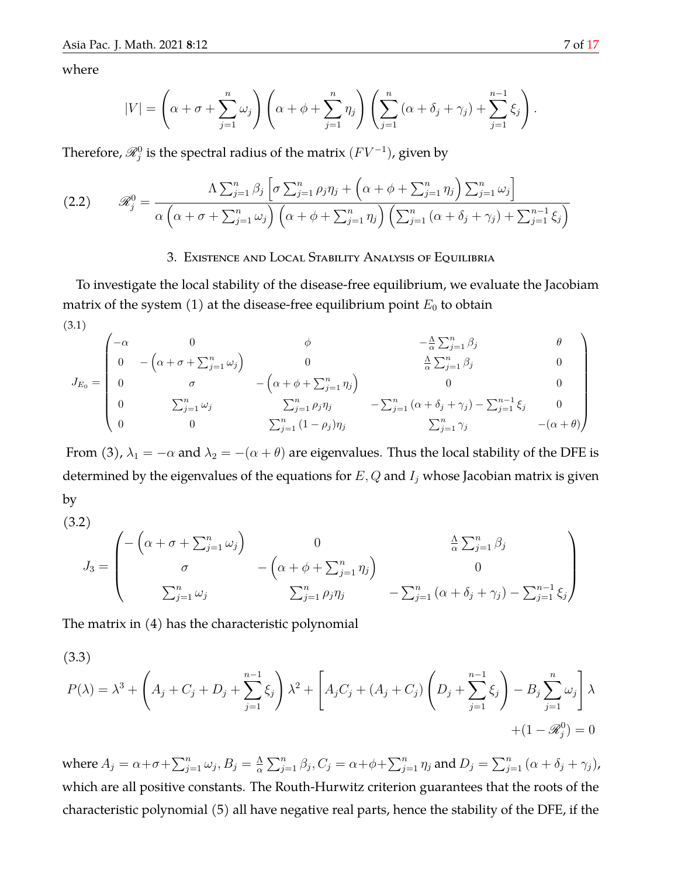where

$$
|V| = \left(\alpha + \sigma + \sum_{j=1}^n \omega_j\right) \left(\alpha + \phi + \sum_{j=1}^n \eta_j\right) \left(\sum_{j=1}^n \left(\alpha + \delta_j + \gamma_j\right) + \sum_{j=1}^{n-1} \xi_j\right).
$$

Therefore,  $\mathscr{R}_{j}^{0}$  is the spectral radius of the matrix  $(FV^{-1})$ , given by

(2.2) 
$$
\mathscr{R}_{j}^{0} = \frac{\Lambda \sum_{j=1}^{n} \beta_{j} \left[ \sigma \sum_{j=1}^{n} \rho_{j} \eta_{j} + \left( \alpha + \phi + \sum_{j=1}^{n} \eta_{j} \right) \sum_{j=1}^{n} \omega_{j} \right]}{\alpha \left( \alpha + \sigma + \sum_{j=1}^{n} \omega_{j} \right) \left( \alpha + \phi + \sum_{j=1}^{n} \eta_{j} \right) \left( \sum_{j=1}^{n} \left( \alpha + \delta_{j} + \gamma_{j} \right) + \sum_{j=1}^{n-1} \xi_{j} \right)}
$$

### 3. Existence and Local Stability Analysis of Equilibria

To investigate the local stability of the disease-free equilibrium, we evaluate the Jacobiam matrix of the system  $(1)$  at the disease-free equilibrium point  $E_0$  to obtain (3.1)

$$
J_{E_0} = \begin{pmatrix}\n-\alpha & 0 & \phi & -\frac{\Lambda}{\alpha} \sum_{j=1}^n \beta_j & \theta \\
0 & -\left(\alpha + \sigma + \sum_{j=1}^n \omega_j\right) & 0 & \frac{\Lambda}{\alpha} \sum_{j=1}^n \beta_j & 0 \\
0 & \sigma & -\left(\alpha + \phi + \sum_{j=1}^n \eta_j\right) & 0 & 0 \\
0 & \sum_{j=1}^n \omega_j & \sum_{j=1}^n \rho_j \eta_j & -\sum_{j=1}^n \left(\alpha + \delta_j + \gamma_j\right) - \sum_{j=1}^{n-1} \xi_j & 0 \\
0 & 0 & \sum_{j=1}^n (1 - \rho_j) \eta_j & \sum_{j=1}^n \gamma_j & -(\alpha + \theta)\n\end{pmatrix}
$$

From (3),  $\lambda_1 = -\alpha$  and  $\lambda_2 = -(\alpha + \theta)$  are eigenvalues. Thus the local stability of the DFE is determined by the eigenvalues of the equations for  $E, Q$  and  $I_j$  whose Jacobian matrix is given by

(3.2)  
\n
$$
J_3 = \begin{pmatrix}\n-\left(\alpha + \sigma + \sum_{j=1}^n \omega_j\right) & 0 & \frac{\Delta}{\alpha} \sum_{j=1}^n \beta_j \\
\sigma & -\left(\alpha + \phi + \sum_{j=1}^n \eta_j\right) & 0 \\
\sum_{j=1}^n \omega_j & \sum_{j=1}^n \rho_j \eta_j & -\sum_{j=1}^n \left(\alpha + \delta_j + \gamma_j\right) - \sum_{j=1}^{n-1} \xi_j\n\end{pmatrix}
$$

The matrix in (4) has the characteristic polynomial

(3.3)  
\n
$$
P(\lambda) = \lambda^{3} + \left(A_{j} + C_{j} + D_{j} + \sum_{j=1}^{n-1} \xi_{j}\right) \lambda^{2} + \left[A_{j}C_{j} + (A_{j} + C_{j})\left(D_{j} + \sum_{j=1}^{n-1} \xi_{j}\right) - B_{j} \sum_{j=1}^{n} \omega_{j}\right] \lambda + (1 - \mathcal{R}_{j}^{0}) = 0
$$

where  $A_j = \alpha + \sigma + \sum_{j=1}^n \omega_j, B_j = \frac{\Lambda}{\alpha}$  $\frac{\Lambda}{\alpha}\sum_{j=1}^n\beta_j,C_j=\alpha\!+\!\phi\!+\!\sum_{j=1}^n\eta_j$  and  $D_j=\sum_{j=1}^n\,(\alpha+\delta_j+\gamma_j)$ , which are all positive constants. The Routh-Hurwitz criterion guarantees that the roots of the characteristic polynomial (5) all have negative real parts, hence the stability of the DFE, if the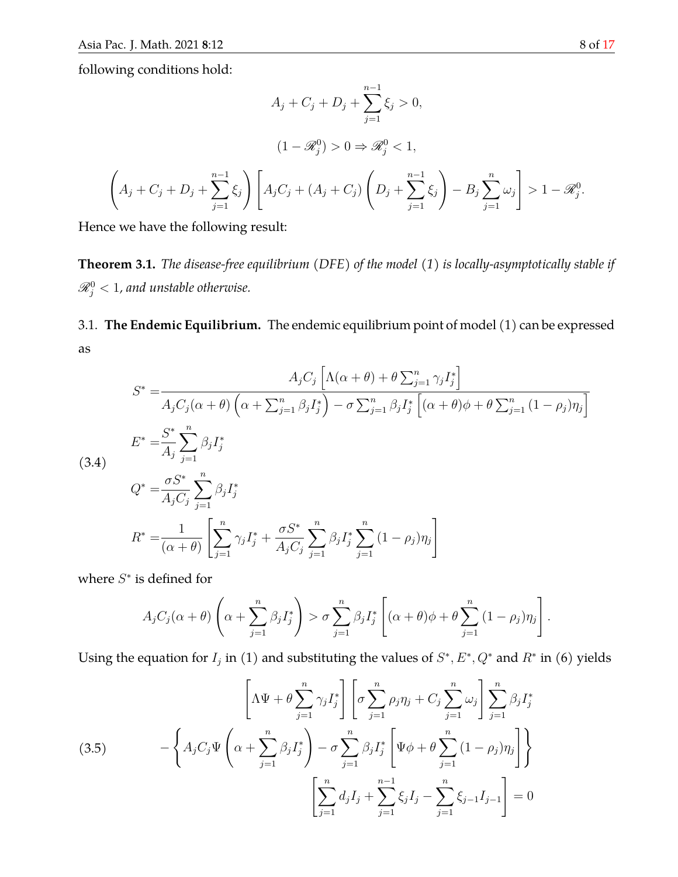following conditions hold:

$$
A_j + C_j + D_j + \sum_{j=1}^{n-1} \xi_j > 0,
$$
  

$$
(1 - \mathcal{R}_j^0) > 0 \Rightarrow \mathcal{R}_j^0 < 1,
$$
  

$$
\left(A_j + C_j + D_j + \sum_{j=1}^{n-1} \xi_j\right) \left[A_j C_j + (A_j + C_j) \left(D_j + \sum_{j=1}^{n-1} \xi_j\right) - B_j \sum_{j=1}^n \omega_j\right] > 1 - \mathcal{R}_j^0.
$$

Hence we have the following result:

**Theorem 3.1.** *The disease-free equilibrium (DFE) of the model (1) is locally-asymptotically stable if*  $\mathscr{R}_{j}^{0} < 1$ , and unstable otherwise.

3.1. **The Endemic Equilibrium.** The endemic equilibrium point of model (1) can be expressed as

$$
S^* = \frac{A_j C_j \left[ \Lambda(\alpha + \theta) + \theta \sum_{j=1}^n \gamma_j I_j^* \right]}{A_j C_j(\alpha + \theta) \left( \alpha + \sum_{j=1}^n \beta_j I_j^* \right) - \sigma \sum_{j=1}^n \beta_j I_j^* \left[ (\alpha + \theta) \phi + \theta \sum_{j=1}^n (1 - \rho_j) \eta_j \right]}
$$
  
\n
$$
E^* = \frac{S^*}{A_j} \sum_{j=1}^n \beta_j I_j^*
$$
  
\n(3.4)  
\n
$$
Q^* = \frac{\sigma S^*}{A_j C_j} \sum_{j=1}^n \beta_j I_j^*
$$
  
\n
$$
R^* = \frac{1}{(\alpha + \theta)} \left[ \sum_{j=1}^n \gamma_j I_j^* + \frac{\sigma S^*}{A_j C_j} \sum_{j=1}^n \beta_j I_j^* \sum_{j=1}^n (1 - \rho_j) \eta_j \right]
$$

where  $S^*$  is defined for

$$
A_j C_j(\alpha + \theta) \left( \alpha + \sum_{j=1}^n \beta_j I_j^* \right) > \sigma \sum_{j=1}^n \beta_j I_j^* \left[ (\alpha + \theta) \phi + \theta \sum_{j=1}^n (1 - \rho_j) \eta_j \right].
$$

Using the equation for  $I_j$  in (1) and substituting the values of  $S^*, E^*, Q^*$  and  $R^*$  in (6) yields

(3.5) 
$$
\left[\Lambda \Psi + \theta \sum_{j=1}^{n} \gamma_{j} I_{j}^{*}\right] \left[\sigma \sum_{j=1}^{n} \rho_{j} \eta_{j} + C_{j} \sum_{j=1}^{n} \omega_{j}\right] \sum_{j=1}^{n} \beta_{j} I_{j}^{*}
$$

$$
- \left\{A_{j} C_{j} \Psi \left(\alpha + \sum_{j=1}^{n} \beta_{j} I_{j}^{*}\right) - \sigma \sum_{j=1}^{n} \beta_{j} I_{j}^{*} \left[\Psi \phi + \theta \sum_{j=1}^{n} (1 - \rho_{j}) \eta_{j}\right]\right\}
$$

$$
\left[\sum_{j=1}^{n} d_{j} I_{j} + \sum_{j=1}^{n-1} \xi_{j} I_{j} - \sum_{j=1}^{n} \xi_{j-1} I_{j-1}\right] = 0
$$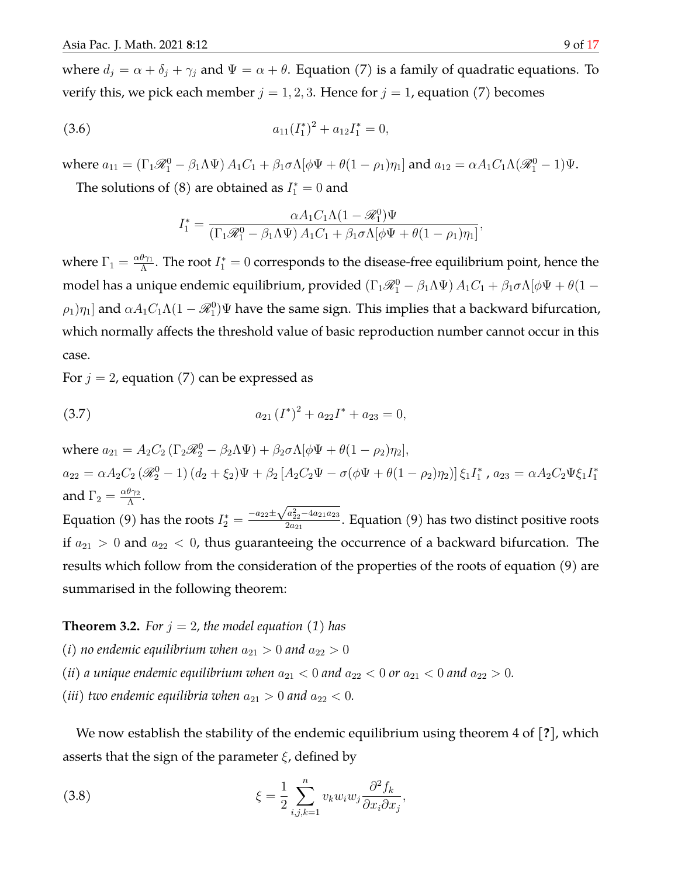where  $d_j = \alpha + \delta_j + \gamma_j$  and  $\Psi = \alpha + \theta$ . Equation (7) is a family of quadratic equations. To verify this, we pick each member  $j = 1, 2, 3$ . Hence for  $j = 1$ , equation (7) becomes

(3.6) 
$$
a_{11}(I_1^*)^2 + a_{12}I_1^* = 0,
$$

where  $a_{11} = (\Gamma_1 \mathcal{R}_1^0 - \beta_1 \Lambda \Psi) A_1 C_1 + \beta_1 \sigma \Lambda [\phi \Psi + \theta (1 - \rho_1) \eta_1]$  and  $a_{12} = \alpha A_1 C_1 \Lambda (\mathcal{R}_1^0 - 1) \Psi$ .

The solutions of  $(8)$  are obtained as  $I_1^* = 0$  and

$$
I_1^* = \frac{\alpha A_1 C_1 \Lambda (1 - \mathcal{R}_1^0) \Psi}{(\Gamma_1 \mathcal{R}_1^0 - \beta_1 \Lambda \Psi) A_1 C_1 + \beta_1 \sigma \Lambda [\phi \Psi + \theta (1 - \rho_1) \eta_1]},
$$

where  $\Gamma_1 = \frac{\alpha \theta \gamma_1}{\Lambda}$  $\frac{\theta\gamma_1}{\Lambda}$ . The root  $I_1^*=0$  corresponds to the disease-free equilibrium point, hence the model has a unique endemic equilibrium, provided  $(\Gamma_1\mathscr{R}_1^0-\beta_1\Lambda\Psi)\,A_1C_1+\beta_1\sigma\Lambda[\phi\Psi+\theta(1-\phi\Phi)\phi]$  $(\rho_1)\eta_1]$  and  $\alpha A_1 C_1 \Lambda (1-\mathscr{R}^0_1) \Psi$  have the same sign. This implies that a backward bifurcation, which normally affects the threshold value of basic reproduction number cannot occur in this case.

For  $j = 2$ , equation (7) can be expressed as

(3.7) 
$$
a_{21} (I^*)^2 + a_{22} I^* + a_{23} = 0,
$$

where  $a_{21} = A_2 C_2 (\Gamma_2 \mathcal{R}_2^0 - \beta_2 \Lambda \Psi) + \beta_2 \sigma \Lambda [\phi \Psi + \theta (1 - \rho_2) \eta_2],$  $a_{22} = \alpha A_2 C_2 (\mathscr{R}_2^0 - 1) (d_2 + \xi_2) \Psi + \beta_2 [A_2 C_2 \Psi - \sigma (\phi \Psi + \theta (1 - \rho_2) \eta_2)] \xi_1 I_1^*, a_{23} = \alpha A_2 C_2 \Psi \xi_1 I_1^*$ and  $\Gamma_2 = \frac{\alpha \theta \gamma_2}{\Lambda}$  $\frac{\sigma \gamma_2}{\Lambda}$ . and 1  $_2$   $\frac{1}{\Lambda}$ .<br>Equation (9) has the roots  $I_2^* = \frac{-a_{22} \pm \sqrt{a_{22}^2 - 4a_{21}a_{23}}}{2 a_{21}}$  $\frac{a_{22}-a_{21}a_{23}}{2a_{21}}$ . Equation (9) has two distinct positive roots if  $a_{21} > 0$  and  $a_{22} < 0$ , thus guaranteeing the occurrence of a backward bifurcation. The results which follow from the consideration of the properties of the roots of equation (9) are summarised in the following theorem:

**Theorem 3.2.** For  $j = 2$ , the model equation (1) has

- *(i)* no endemic equilibrium when  $a_{21} > 0$  and  $a_{22} > 0$
- *(ii) a unique endemic equilibrium when*  $a_{21} < 0$  *and*  $a_{22} < 0$  *or*  $a_{21} < 0$  *and*  $a_{22} > 0$ *.*
- *(iii)* two endemic equilibria when  $a_{21} > 0$  and  $a_{22} < 0$ .

We now establish the stability of the endemic equilibrium using theorem 4 of [**?**], which asserts that the sign of the parameter  $\xi$ , defined by

(3.8) 
$$
\xi = \frac{1}{2} \sum_{i,j,k=1}^{n} v_k w_i w_j \frac{\partial^2 f_k}{\partial x_i \partial x_j},
$$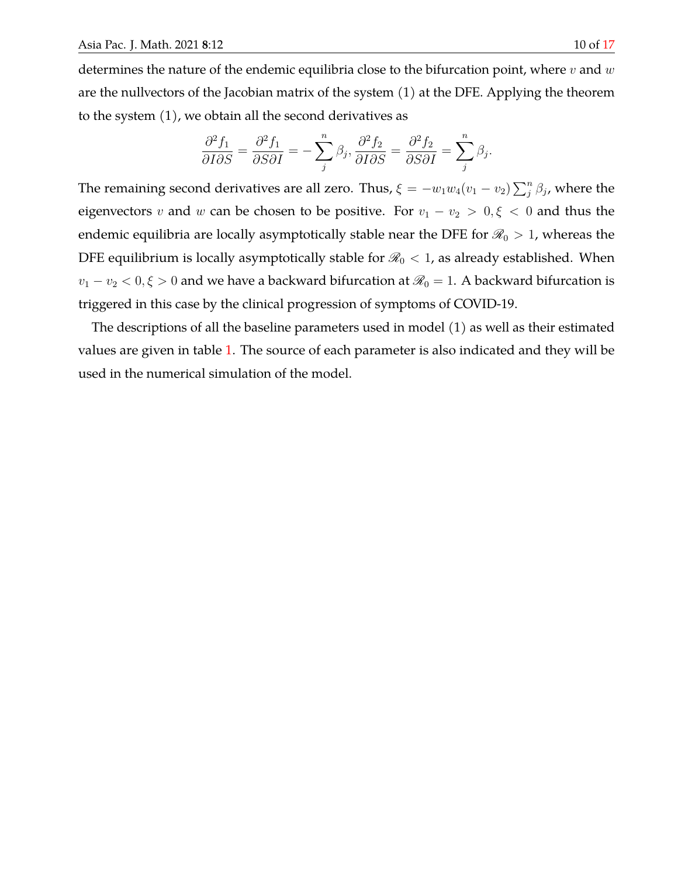determines the nature of the endemic equilibria close to the bifurcation point, where  $v$  and  $w$ are the nullvectors of the Jacobian matrix of the system (1) at the DFE. Applying the theorem to the system (1), we obtain all the second derivatives as

$$
\frac{\partial^2 f_1}{\partial I \partial S} = \frac{\partial^2 f_1}{\partial S \partial I} = -\sum_j^n \beta_j, \frac{\partial^2 f_2}{\partial I \partial S} = \frac{\partial^2 f_2}{\partial S \partial I} = \sum_j^n \beta_j.
$$

The remaining second derivatives are all zero. Thus,  $\xi = -w_1w_4(v_1 - v_2)\sum_j^n \beta_j$ , where the eigenvectors v and w can be chosen to be positive. For  $v_1 - v_2 > 0, \xi < 0$  and thus the endemic equilibria are locally asymptotically stable near the DFE for  $\mathcal{R}_0 > 1$ , whereas the DFE equilibrium is locally asymptotically stable for  $\mathcal{R}_0 < 1$ , as already established. When  $v_1-v_2< 0, \xi>0$  and we have a backward bifurcation at  $\mathscr{R}_0=1.$  A backward bifurcation is triggered in this case by the clinical progression of symptoms of COVID-19.

The descriptions of all the baseline parameters used in model (1) as well as their estimated values are given in table [1.](#page-10-0) The source of each parameter is also indicated and they will be used in the numerical simulation of the model.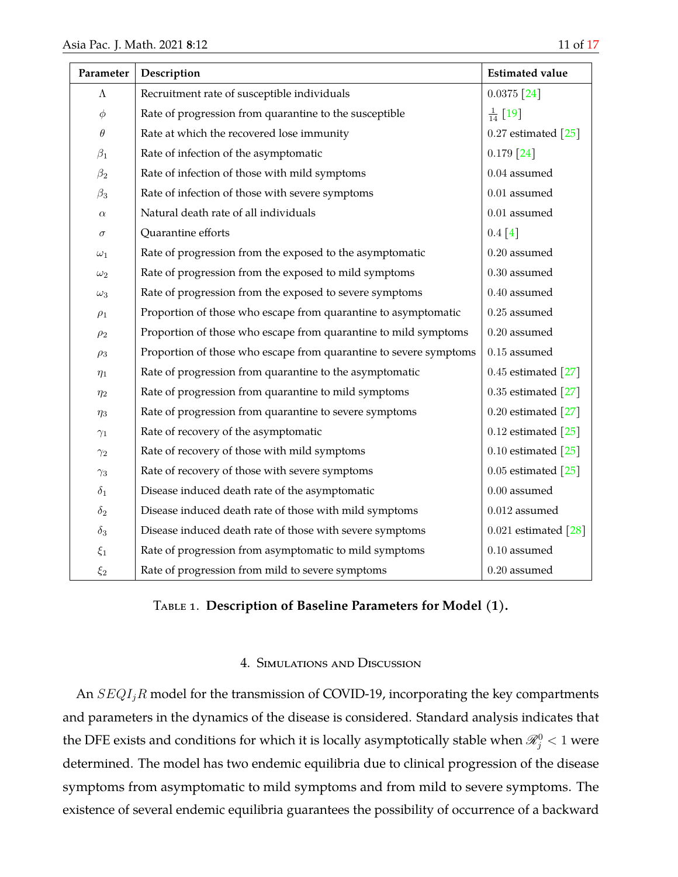<span id="page-10-0"></span>

| Parameter  | Description                                                       | <b>Estimated value</b>             |
|------------|-------------------------------------------------------------------|------------------------------------|
| $\Lambda$  | Recruitment rate of susceptible individuals                       | $0.0375$ [24]                      |
| $\phi$     | Rate of progression from quarantine to the susceptible            | $\frac{1}{14}$ [19]                |
| $\theta$   | Rate at which the recovered lose immunity                         | $0.27$ estimated $[25]$            |
| $\beta_1$  | Rate of infection of the asymptomatic                             | $0.179$ [24]                       |
| $\beta_2$  | Rate of infection of those with mild symptoms                     | $0.04$ assumed                     |
| $\beta_3$  | Rate of infection of those with severe symptoms                   | $0.01$ assumed                     |
| $\alpha$   | Natural death rate of all individuals                             | $0.01$ assumed                     |
| $\sigma$   | Quarantine efforts                                                | 0.4 [4]                            |
| $\omega_1$ | Rate of progression from the exposed to the asymptomatic          | $0.20$ assumed                     |
| $\omega_2$ | Rate of progression from the exposed to mild symptoms             | $0.30$ assumed                     |
| $\omega_3$ | Rate of progression from the exposed to severe symptoms           | $0.40$ assumed                     |
| $\rho_1$   | Proportion of those who escape from quarantine to asymptomatic    | $0.25$ assumed                     |
| $\rho_2$   | Proportion of those who escape from quarantine to mild symptoms   | $0.20$ assumed                     |
| $\rho_3$   | Proportion of those who escape from quarantine to severe symptoms | $0.15$ assumed $\,$                |
| $\eta_1$   | Rate of progression from quarantine to the asymptomatic           | 0.45 estimated $[27]$              |
| $\eta_2$   | Rate of progression from quarantine to mild symptoms              | 0.35 estimated $[27]$              |
| $\eta_3$   | Rate of progression from quarantine to severe symptoms            | 0.20 estimated $[27]$              |
| $\gamma_1$ | Rate of recovery of the asymptomatic                              | 0.12 estimated $\lceil 25 \rceil$  |
| $\gamma_2$ | Rate of recovery of those with mild symptoms                      | 0.10 estimated $\lceil 25 \rceil$  |
| $\gamma_3$ | Rate of recovery of those with severe symptoms                    | 0.05 estimated $\lceil 25 \rceil$  |
| $\delta_1$ | Disease induced death rate of the asymptomatic                    | $0.00$ assumed                     |
| $\delta_2$ | Disease induced death rate of those with mild symptoms            | $0.012$ assumed                    |
| $\delta_3$ | Disease induced death rate of those with severe symptoms          | 0.021 estimated $\lceil 28 \rceil$ |
| $\xi_1$    | Rate of progression from asymptomatic to mild symptoms            | $0.10$ assumed                     |
| $\xi_2$    | Rate of progression from mild to severe symptoms                  | $0.20$ assumed                     |

# Table 1. **Description of Baseline Parameters for Model (1).**

## 4. Simulations and Discussion

An  $SEQI_jR$  model for the transmission of COVID-19, incorporating the key compartments and parameters in the dynamics of the disease is considered. Standard analysis indicates that the DFE exists and conditions for which it is locally asymptotically stable when  $\mathscr{R}_{j}^{0} < 1$  were determined. The model has two endemic equilibria due to clinical progression of the disease symptoms from asymptomatic to mild symptoms and from mild to severe symptoms. The existence of several endemic equilibria guarantees the possibility of occurrence of a backward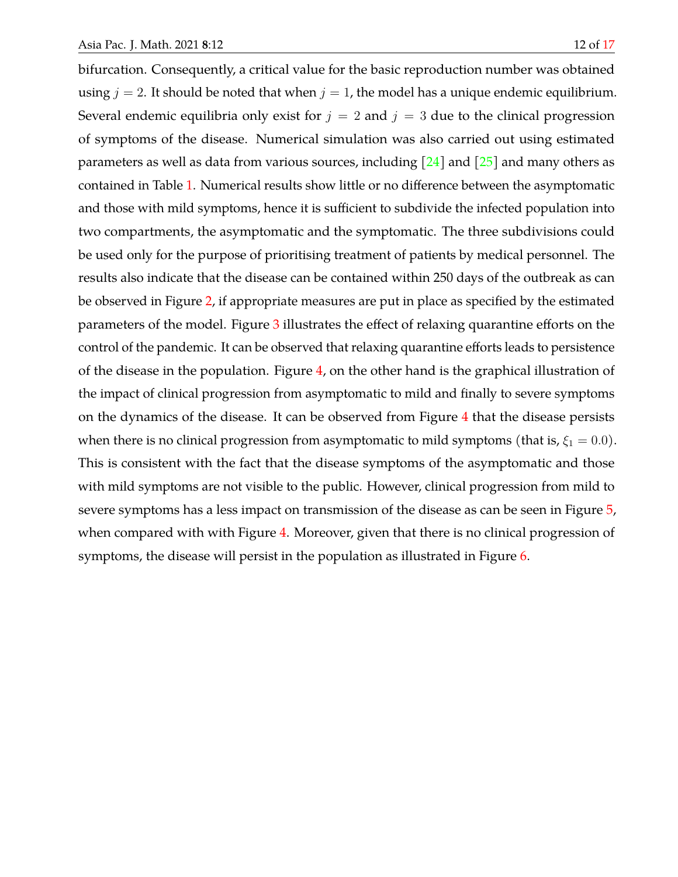bifurcation. Consequently, a critical value for the basic reproduction number was obtained using  $j = 2$ . It should be noted that when  $j = 1$ , the model has a unique endemic equilibrium. Several endemic equilibria only exist for  $j = 2$  and  $j = 3$  due to the clinical progression of symptoms of the disease. Numerical simulation was also carried out using estimated parameters as well as data from various sources, including  $\lceil 24 \rceil$  and  $\lceil 25 \rceil$  and many others as contained in Table [1.](#page-10-0) Numerical results show little or no difference between the asymptomatic and those with mild symptoms, hence it is sufficient to subdivide the infected population into two compartments, the asymptomatic and the symptomatic. The three subdivisions could be used only for the purpose of prioritising treatment of patients by medical personnel. The results also indicate that the disease can be contained within 250 days of the outbreak as can be observed in Figure [2,](#page-12-0) if appropriate measures are put in place as specified by the estimated parameters of the model. Figure [3](#page-12-1) illustrates the effect of relaxing quarantine efforts on the control of the pandemic. It can be observed that relaxing quarantine efforts leads to persistence of the disease in the population. Figure [4,](#page-13-0) on the other hand is the graphical illustration of the impact of clinical progression from asymptomatic to mild and finally to severe symptoms on the dynamics of the disease. It can be observed from Figure [4](#page-13-0) that the disease persists when there is no clinical progression from asymptomatic to mild symptoms (that is,  $\xi_1 = 0.0$ ). This is consistent with the fact that the disease symptoms of the asymptomatic and those with mild symptoms are not visible to the public. However, clinical progression from mild to severe symptoms has a less impact on transmission of the disease as can be seen in Figure [5,](#page-13-1) when compared with with Figure [4.](#page-13-0) Moreover, given that there is no clinical progression of symptoms, the disease will persist in the population as illustrated in Figure [6.](#page-14-0)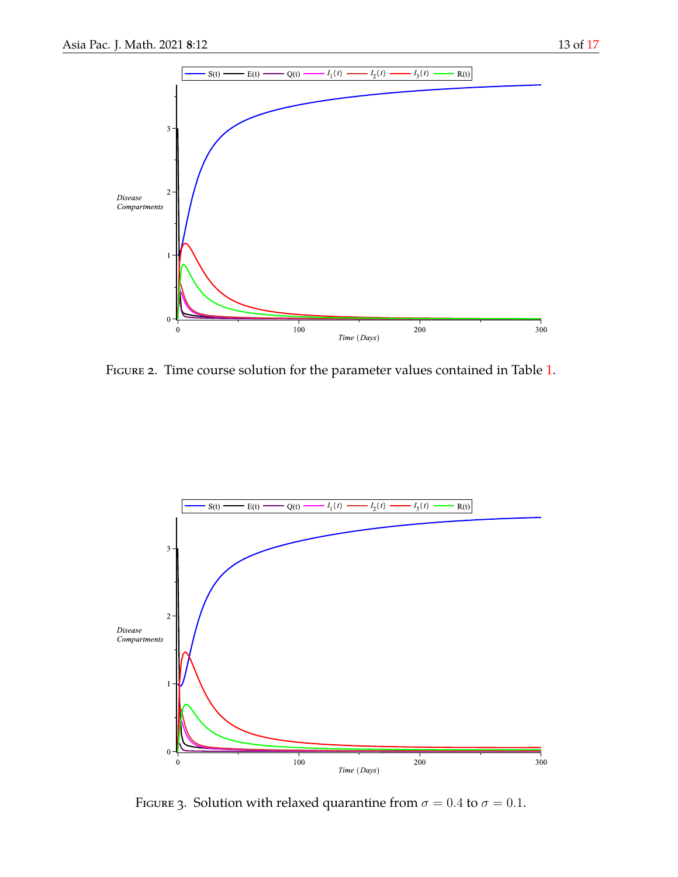<span id="page-12-0"></span>

Figure 2. Time course solution for the parameter values contained in Table [1.](#page-10-0)

<span id="page-12-1"></span>

FIGURE 3. Solution with relaxed quarantine from  $\sigma = 0.4$  to  $\sigma = 0.1$ .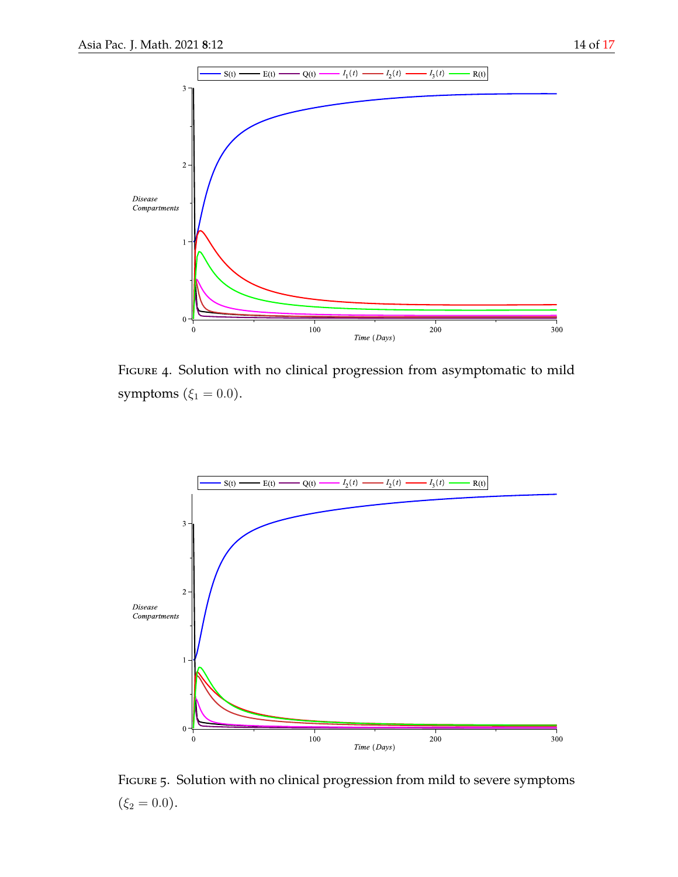

<span id="page-13-0"></span>

Figure 4. Solution with no clinical progression from asymptomatic to mild symptoms ( $\xi_1 = 0.0$ ).

<span id="page-13-1"></span>

FIGURE 5. Solution with no clinical progression from mild to severe symptoms  $(\xi_2 = 0.0).$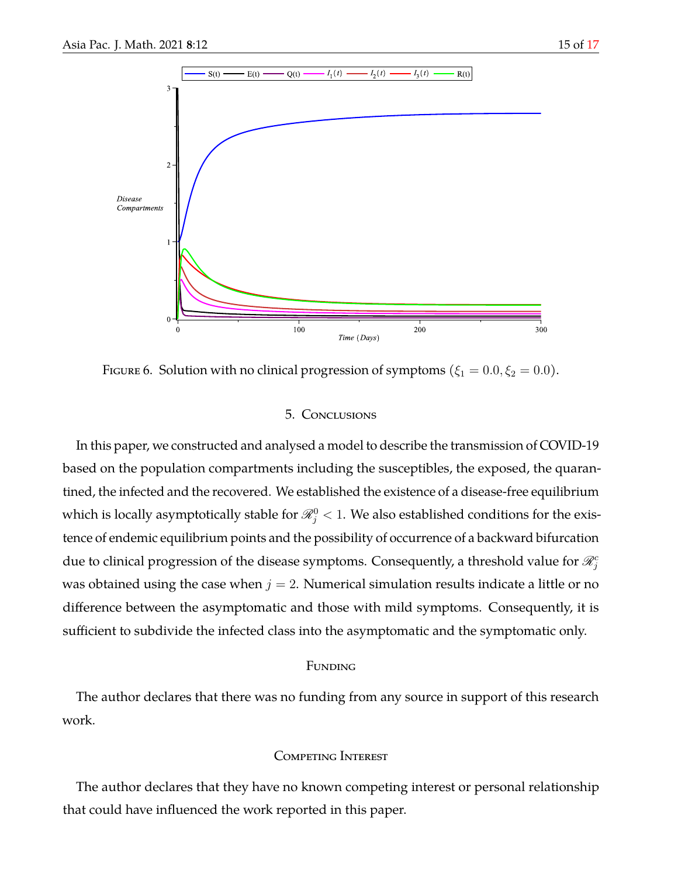<span id="page-14-0"></span>

FIGURE 6. Solution with no clinical progression of symptoms ( $\xi_1 = 0.0, \xi_2 = 0.0$ ).

### 5. Conclusions

In this paper, we constructed and analysed a model to describe the transmission of COVID-19 based on the population compartments including the susceptibles, the exposed, the quarantined, the infected and the recovered. We established the existence of a disease-free equilibrium which is locally asymptotically stable for  $\mathscr{R}_{j}^{0} < 1.$  We also established conditions for the existence of endemic equilibrium points and the possibility of occurrence of a backward bifurcation due to clinical progression of the disease symptoms. Consequently, a threshold value for  $\mathscr{R}^c_j$ was obtained using the case when  $j = 2$ . Numerical simulation results indicate a little or no difference between the asymptomatic and those with mild symptoms. Consequently, it is sufficient to subdivide the infected class into the asymptomatic and the symptomatic only.

#### FUNDING

The author declares that there was no funding from any source in support of this research work.

## Competing Interest

The author declares that they have no known competing interest or personal relationship that could have influenced the work reported in this paper.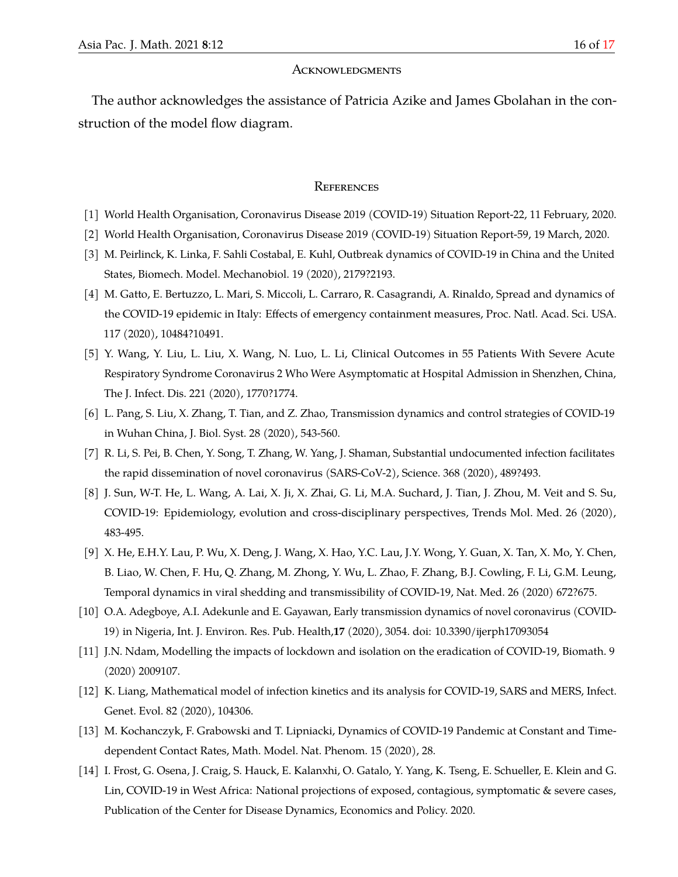#### **ACKNOWLEDGMENTS**

The author acknowledges the assistance of Patricia Azike and James Gbolahan in the construction of the model flow diagram.

#### **REFERENCES**

- <span id="page-15-0"></span>[1] World Health Organisation, Coronavirus Disease 2019 (COVID-19) Situation Report-22, 11 February, 2020.
- <span id="page-15-1"></span>[2] World Health Organisation, Coronavirus Disease 2019 (COVID-19) Situation Report-59, 19 March, 2020.
- <span id="page-15-2"></span>[3] M. Peirlinck, K. Linka, F. Sahli Costabal, E. Kuhl, Outbreak dynamics of COVID-19 in China and the United States, Biomech. Model. Mechanobiol. 19 (2020), 2179?2193.
- <span id="page-15-3"></span>[4] M. Gatto, E. Bertuzzo, L. Mari, S. Miccoli, L. Carraro, R. Casagrandi, A. Rinaldo, Spread and dynamics of the COVID-19 epidemic in Italy: Effects of emergency containment measures, Proc. Natl. Acad. Sci. USA. 117 (2020), 10484?10491.
- <span id="page-15-4"></span>[5] Y. Wang, Y. Liu, L. Liu, X. Wang, N. Luo, L. Li, Clinical Outcomes in 55 Patients With Severe Acute Respiratory Syndrome Coronavirus 2 Who Were Asymptomatic at Hospital Admission in Shenzhen, China, The J. Infect. Dis. 221 (2020), 1770?1774.
- <span id="page-15-5"></span>[6] L. Pang, S. Liu, X. Zhang, T. Tian, and Z. Zhao, Transmission dynamics and control strategies of COVID-19 in Wuhan China, J. Biol. Syst. 28 (2020), 543-560.
- <span id="page-15-6"></span>[7] R. Li, S. Pei, B. Chen, Y. Song, T. Zhang, W. Yang, J. Shaman, Substantial undocumented infection facilitates the rapid dissemination of novel coronavirus (SARS-CoV-2), Science. 368 (2020), 489?493.
- <span id="page-15-7"></span>[8] J. Sun, W-T. He, L. Wang, A. Lai, X. Ji, X. Zhai, G. Li, M.A. Suchard, J. Tian, J. Zhou, M. Veit and S. Su, COVID-19: Epidemiology, evolution and cross-disciplinary perspectives, Trends Mol. Med. 26 (2020), 483-495.
- <span id="page-15-8"></span>[9] X. He, E.H.Y. Lau, P. Wu, X. Deng, J. Wang, X. Hao, Y.C. Lau, J.Y. Wong, Y. Guan, X. Tan, X. Mo, Y. Chen, B. Liao, W. Chen, F. Hu, Q. Zhang, M. Zhong, Y. Wu, L. Zhao, F. Zhang, B.J. Cowling, F. Li, G.M. Leung, Temporal dynamics in viral shedding and transmissibility of COVID-19, Nat. Med. 26 (2020) 672?675.
- <span id="page-15-9"></span>[10] O.A. Adegboye, A.I. Adekunle and E. Gayawan, Early transmission dynamics of novel coronavirus (COVID-19) in Nigeria, Int. J. Environ. Res. Pub. Health,**17** (2020), 3054. doi: 10.3390/ijerph17093054
- <span id="page-15-10"></span>[11] J.N. Ndam, Modelling the impacts of lockdown and isolation on the eradication of COVID-19, Biomath. 9 (2020) 2009107.
- [12] K. Liang, Mathematical model of infection kinetics and its analysis for COVID-19, SARS and MERS, Infect. Genet. Evol. 82 (2020), 104306.
- <span id="page-15-11"></span>[13] M. Kochanczyk, F. Grabowski and T. Lipniacki, Dynamics of COVID-19 Pandemic at Constant and Timedependent Contact Rates, Math. Model. Nat. Phenom. 15 (2020), 28.
- <span id="page-15-12"></span>[14] I. Frost, G. Osena, J. Craig, S. Hauck, E. Kalanxhi, O. Gatalo, Y. Yang, K. Tseng, E. Schueller, E. Klein and G. Lin, COVID-19 in West Africa: National projections of exposed, contagious, symptomatic & severe cases, Publication of the Center for Disease Dynamics, Economics and Policy. 2020.